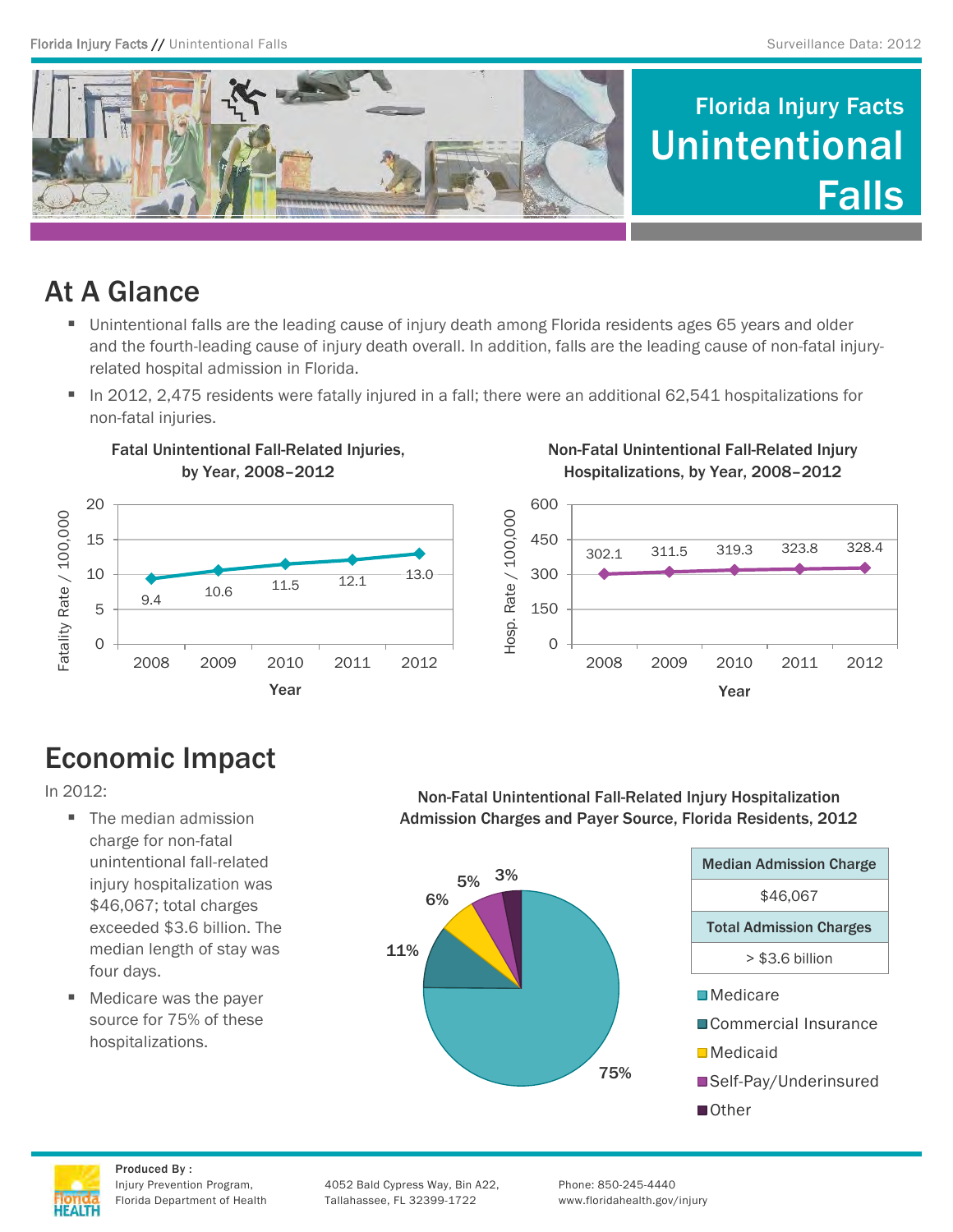

## At A Glance

- Unintentional falls are the leading cause of injury death among Florida residents ages 65 years and older and the fourth-leading cause of injury death overall. In addition, falls are the leading cause of non-fatal injuryrelated hospital admission in Florida.
- In 2012, 2,475 residents were fatally injured in a fall; there were an additional 62,541 hospitalizations for non-fatal injuries.



Fatal Unintentional Fall-Related Injuries, by Year, 2008–2012

Non-Fatal Unintentional Fall-Related Injury Hospitalizations, by Year, 2008–2012



# Economic Impact

In 2012:

- The median admission charge for non-fatal unintentional fall-related injury hospitalization was \$46,067; total charges exceeded \$3.6 billion. The median length of stay was four days.
- Medicare was the payer source for 75% of these hospitalizations.

Non-Fatal Unintentional Fall-Related Injury Hospitalization Admission Charges and Payer Source, Florida Residents, 2012





Produced By :

Injury Prevention Program, 4052 Bald Cypress Way, Bin A22, Phone: 850-245-4440 Florida Department of Health Tallahassee, FL 32399-1722 www.floridahealth.gov/injury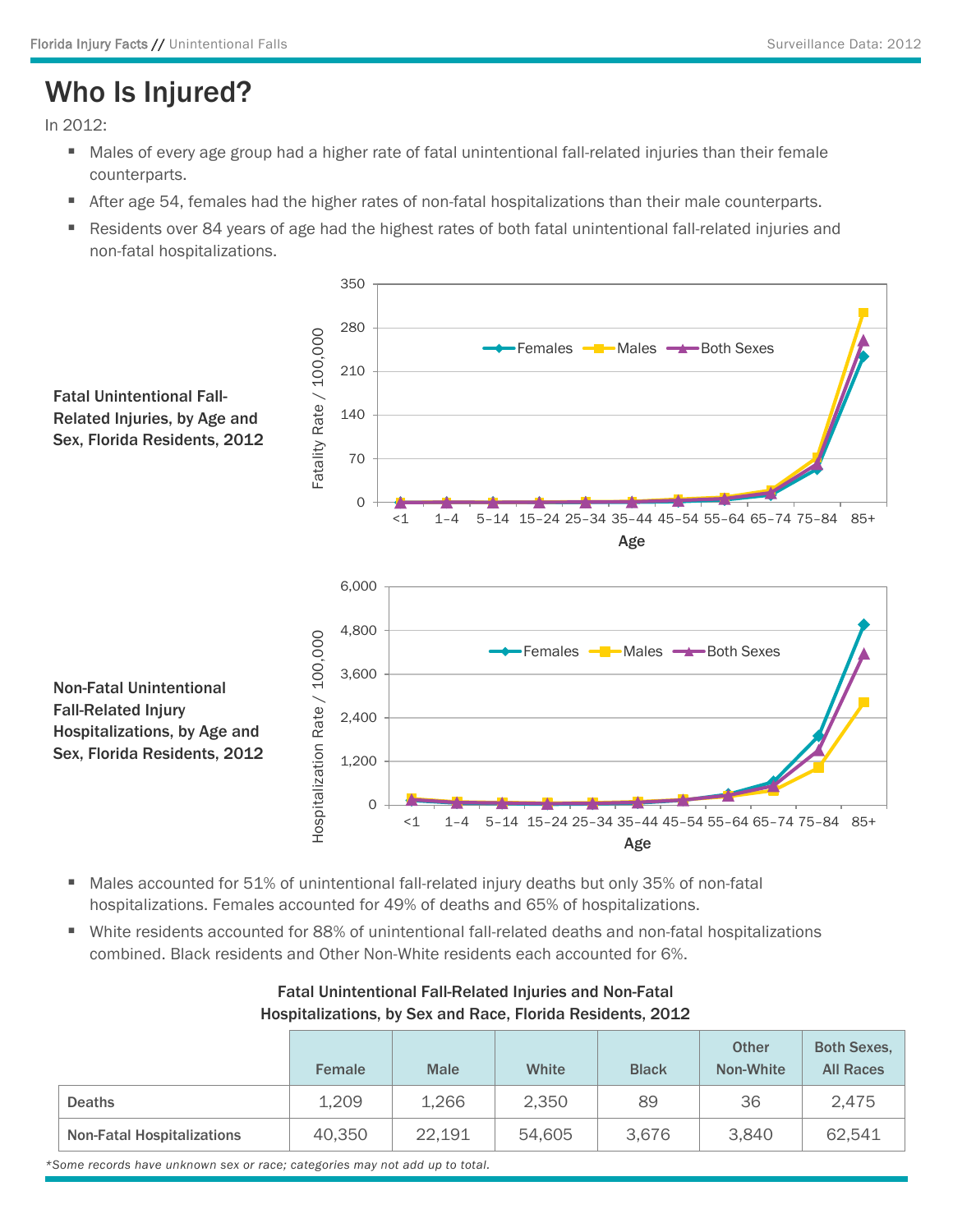## Who Is Injured?

In 2012:

- Males of every age group had a higher rate of fatal unintentional fall-related injuries than their female counterparts.
- After age 54, females had the higher rates of non-fatal hospitalizations than their male counterparts.
- **Residents over 84 years of age had the highest rates of both fatal unintentional fall-related injuries and** non-fatal hospitalizations.



- Males accounted for 51% of unintentional fall-related injury deaths but only 35% of non-fatal hospitalizations. Females accounted for 49% of deaths and 65% of hospitalizations.
- White residents accounted for 88% of unintentional fall-related deaths and non-fatal hospitalizations combined. Black residents and Other Non-White residents each accounted for 6%.

|                                   | <b>Female</b> | <b>Male</b> | White  | <b>Black</b> | <b>Other</b><br>Non-White | <b>Both Sexes,</b><br><b>All Races</b> |
|-----------------------------------|---------------|-------------|--------|--------------|---------------------------|----------------------------------------|
| <b>Deaths</b>                     | 1,209         | 1,266       | 2,350  | 89           | 36                        | 2,475                                  |
| <b>Non-Fatal Hospitalizations</b> | 40,350        | 22,191      | 54,605 | 3,676        | 3,840                     | 62,541                                 |

### Fatal Unintentional Fall-Related Injuries and Non-Fatal Hospitalizations, by Sex and Race, Florida Residents, 2012

*\*Some records have unknown sex or race; categories may not add up to total.*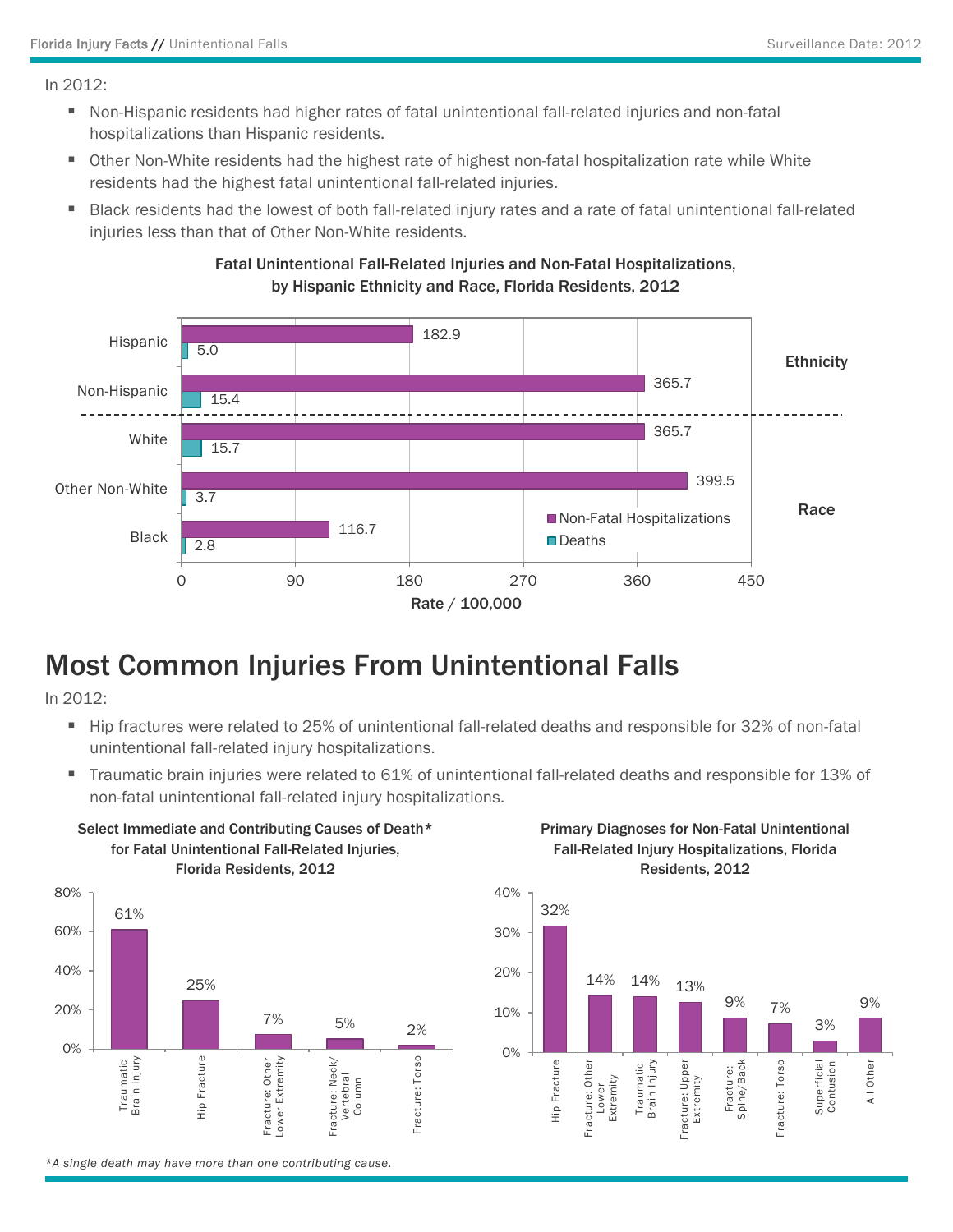In 2012:

- Non-Hispanic residents had higher rates of fatal unintentional fall-related injuries and non-fatal hospitalizations than Hispanic residents.
- Other Non-White residents had the highest rate of highest non-fatal hospitalization rate while White residents had the highest fatal unintentional fall-related injuries.
- Black residents had the lowest of both fall-related injury rates and a rate of fatal unintentional fall-related injuries less than that of Other Non-White residents.



### Fatal Unintentional Fall-Related Injuries and Non-Fatal Hospitalizations, by Hispanic Ethnicity and Race, Florida Residents, 2012

### Most Common Injuries From Unintentional Falls

In 2012:

- Hip fractures were related to 25% of unintentional fall-related deaths and responsible for 32% of non-fatal unintentional fall-related injury hospitalizations.
- Traumatic brain injuries were related to 61% of unintentional fall-related deaths and responsible for 13% of non-fatal unintentional fall-related injury hospitalizations.



Select Immediate and Contributing Causes of Death\*

Primary Diagnoses for Non-Fatal Unintentional Fall-Related Injury Hospitalizations, Florida Residents, 2012



*\*A single death may have more than one contributing cause.*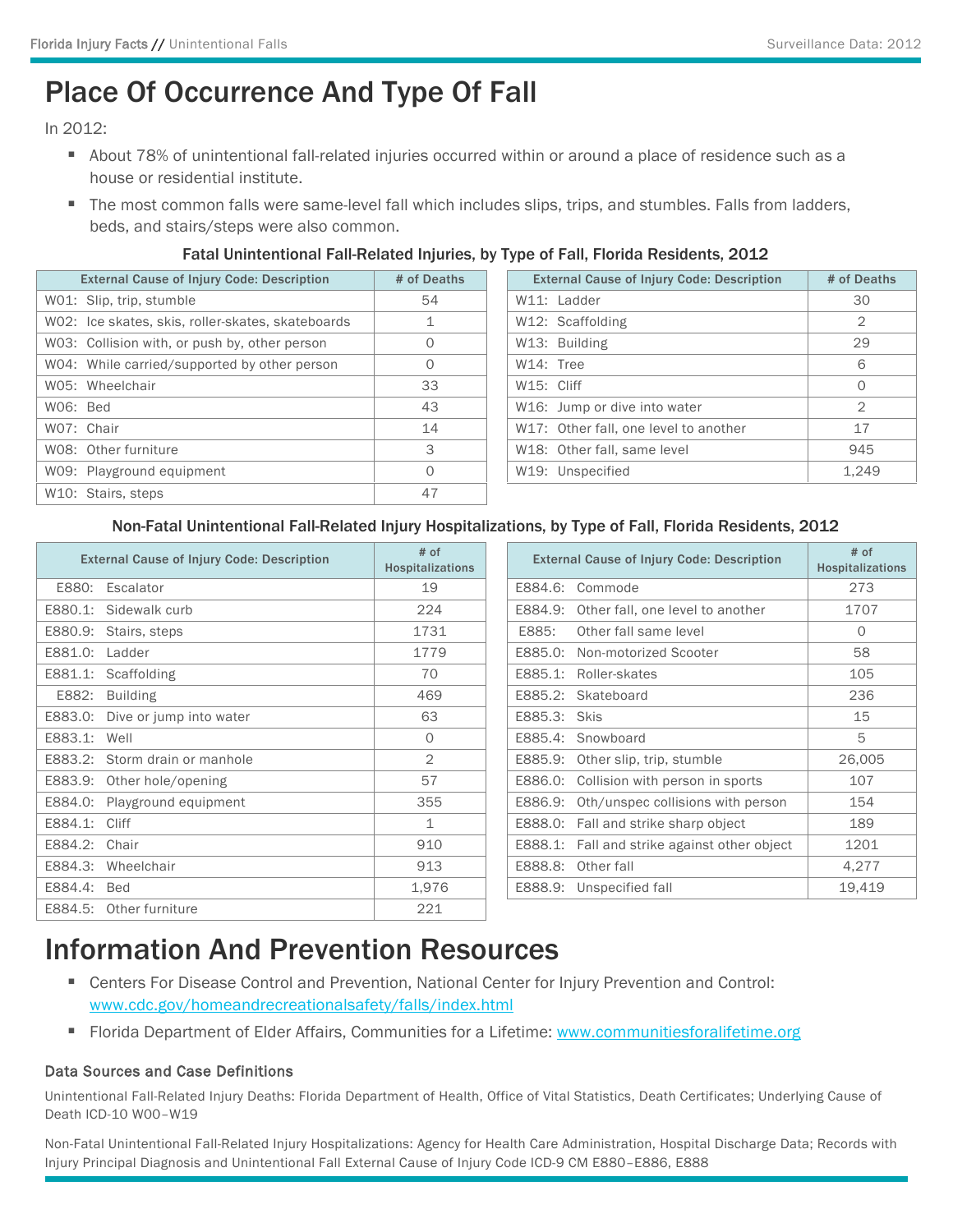## Place Of Occurrence And Type Of Fall

In 2012:

- About 78% of unintentional fall-related injuries occurred within or around a place of residence such as a house or residential institute.
- The most common falls were same-level fall which includes slips, trips, and stumbles. Falls from ladders, beds, and stairs/steps were also common.

#### Fatal Unintentional Fall-Related Injuries, by Type of Fall, Florida Residents, 2012

| <b>External Cause of Injury Code: Description</b> | # of Deaths | <b>External Cause of Injury Code: Description</b> | # of Deaths |
|---------------------------------------------------|-------------|---------------------------------------------------|-------------|
| WO1: Slip, trip, stumble                          | 54          | W11: Ladder                                       | 30          |
| WO2: Ice skates, skis, roller-skates, skateboards |             | W12: Scaffolding                                  | 2           |
| W03: Collision with, or push by, other person     | $\circ$     | W13: Building                                     | 29          |
| W04: While carried/supported by other person      | $\circ$     | W14: Tree                                         | 6           |
| W05: Wheelchair                                   | 33          | W15: Cliff                                        | $\circ$     |
| W06: Bed                                          | 43          | W16: Jump or dive into water                      | 2           |
| WO7: Chair                                        | 14          | W17: Other fall, one level to another             | 17          |
| W08: Other furniture                              | 3           | W18: Other fall, same level                       | 945         |
| W09: Playground equipment                         | $\circ$     | W19: Unspecified                                  | 1.249       |
| W10: Stairs, steps                                | 47          |                                                   |             |

|                         | <b>External Cause of Injury Code: Description</b> | # of Deaths    |
|-------------------------|---------------------------------------------------|----------------|
|                         | W11: Ladder                                       | 30             |
|                         | W12: Scaffolding                                  | $\mathfrak{D}$ |
|                         | W13: Building                                     | 29             |
| W14: Tree               |                                                   | 6              |
| W <sub>15</sub> : Cliff |                                                   | $\Omega$       |
|                         | W16: Jump or dive into water                      | 2              |
|                         | W17: Other fall, one level to another             | 17             |
|                         | W <sub>18</sub> : Other fall, same level          | 945            |
|                         | W <sub>19</sub> : Unspecified                     | 1,249          |

#### Non-Fatal Unintentional Fall-Related Injury Hospitalizations, by Type of Fall, Florida Residents, 2012

| <b>External Cause of Injury Code: Description</b> | # of<br><b>Hospitalizations</b> | <b>External Cause of Injury Code: Description</b> | $#$ of<br>Hospitalizat |
|---------------------------------------------------|---------------------------------|---------------------------------------------------|------------------------|
| E880: Escalator                                   | 19                              | E884.6: Commode                                   | 273                    |
| E880.1: Sidewalk curb                             | 224                             | E884.9: Other fall, one level to another          | 1707                   |
| E880.9: Stairs, steps                             | 1731                            | E885:<br>Other fall same level                    | $\Omega$               |
| E881.0: Ladder                                    | 1779                            | E885.0: Non-motorized Scooter                     | 58                     |
| E881.1: Scaffolding                               | 70                              | E885.1: Roller-skates                             | 105                    |
| E882: Building                                    | 469                             | E885.2: Skateboard                                | 236                    |
| E883.0: Dive or jump into water                   | 63                              | E885.3: Skis                                      | 15                     |
| E883.1: Well                                      | $\circ$                         | E885.4: Snowboard                                 | 5                      |
| E883.2: Storm drain or manhole                    | $\overline{2}$                  | E885.9: Other slip, trip, stumble                 | 26,005                 |
| E883.9: Other hole/opening                        | 57                              | E886.0: Collision with person in sports           | 107                    |
| E884.0: Playground equipment                      | 355                             | E886.9: Oth/unspec collisions with person         | 154                    |
| E884.1: Cliff                                     | $\mathbf{1}$                    | E888.0: Fall and strike sharp object              | 189                    |
| E884.2: Chair                                     | 910                             | E888.1: Fall and strike against other object      | 1201                   |
| E884.3: Wheelchair                                | 913                             | E888.8: Other fall                                | 4,277                  |
| E884.4: Bed                                       | 1,976                           | E888.9: Unspecified fall                          | 19,419                 |
| E884.5: Other furniture                           | 221                             |                                                   |                        |

| # of<br><b>Hospitalizations</b> | <b>External Cause of Injury Code: Description</b> | $#$ of<br><b>Hospitalizations</b> |
|---------------------------------|---------------------------------------------------|-----------------------------------|
| 19                              | E884.6:<br>Commode                                | 273                               |
| 224                             | E884.9:<br>Other fall, one level to another       | 1707                              |
| 1731                            | E885:<br>Other fall same level                    | 0                                 |
| 1779                            | E885.0:<br>Non-motorized Scooter                  | 58                                |
| 70                              | E885.1:<br>Roller-skates                          | 105                               |
| 469                             | E885.2:<br>Skateboard                             | 236                               |
| 63                              | E885.3:<br><b>Skis</b>                            | 15                                |
| 0                               | E885.4:<br>Snowboard                              | 5                                 |
| $\overline{2}$                  | E885.9:<br>Other slip, trip, stumble              | 26,005                            |
| 57                              | E886.0:<br>Collision with person in sports        | 107                               |
| 355                             | E886.9:<br>Oth/unspec collisions with person      | 154                               |
| 1                               | E888.0:<br>Fall and strike sharp object           | 189                               |
| 910                             | E888.1:<br>Fall and strike against other object   | 1201                              |
| 913                             | E888.8:<br>Other fall                             | 4,277                             |
| 1,976                           | Unspecified fall<br>E888.9:                       | 19,419                            |
|                                 |                                                   |                                   |

### Information And Prevention Resources

- Centers For Disease Control and Prevention, National Center for Injury Prevention and Control: www.cdc.gov/homeandrecreationalsafety/falls/index.html
- Florida Department of Elder Affairs, Communities for a Lifetime: www.communitiesforalifetime.org

#### Data Sources and Case Definitions

Unintentional Fall-Related Injury Deaths: Florida Department of Health, Office of Vital Statistics, Death Certificates; Underlying Cause of Death ICD-10 W00–W19

Non-Fatal Unintentional Fall-Related Injury Hospitalizations: Agency for Health Care Administration, Hospital Discharge Data; Records with Injury Principal Diagnosis and Unintentional Fall External Cause of Injury Code ICD-9 CM E880–E886, E888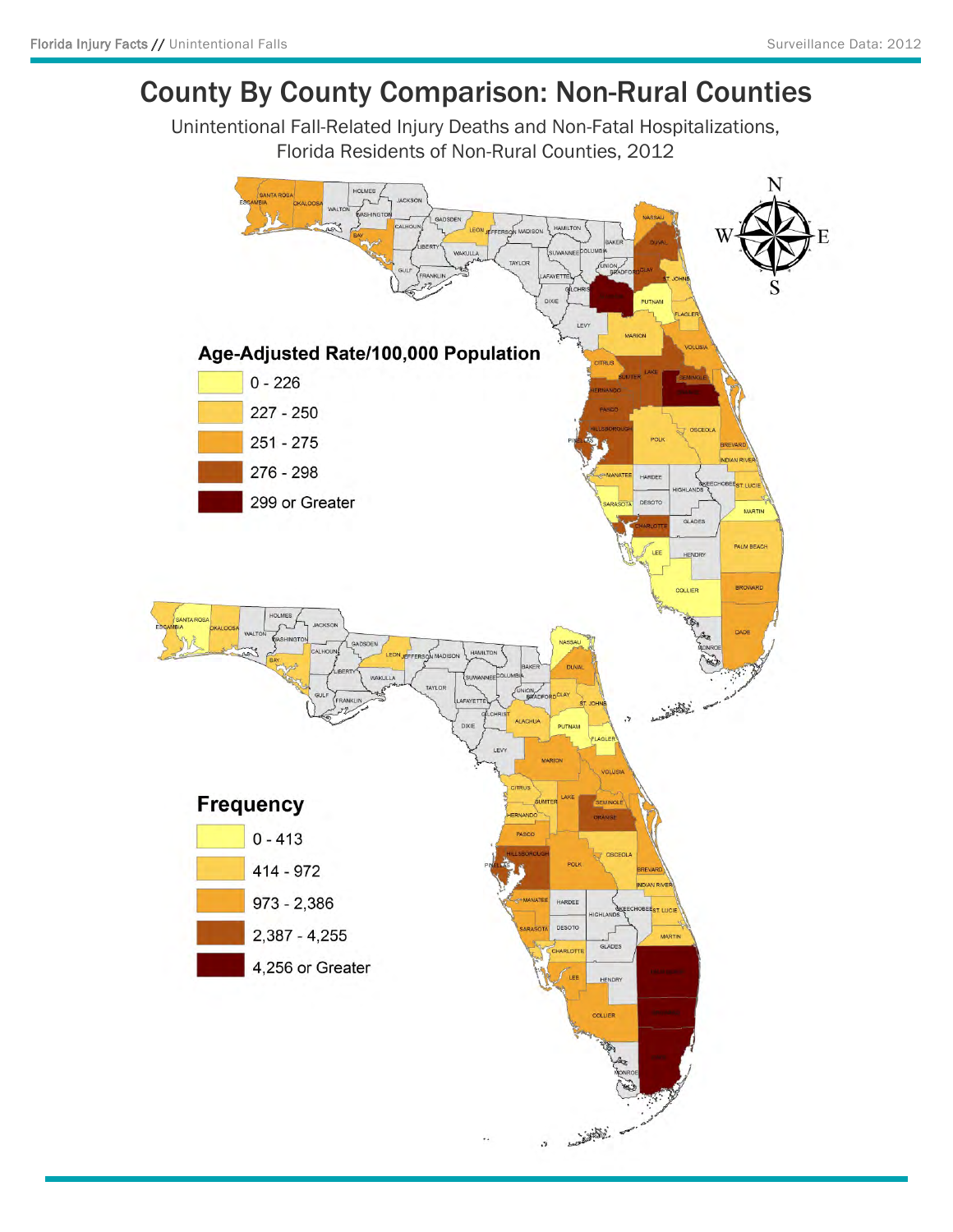# County By County Comparison: Non-Rural Counties

Unintentional Fall-Related Injury Deaths and Non-Fatal Hospitalizations, Florida Residents of Non-Rural Counties, 2012